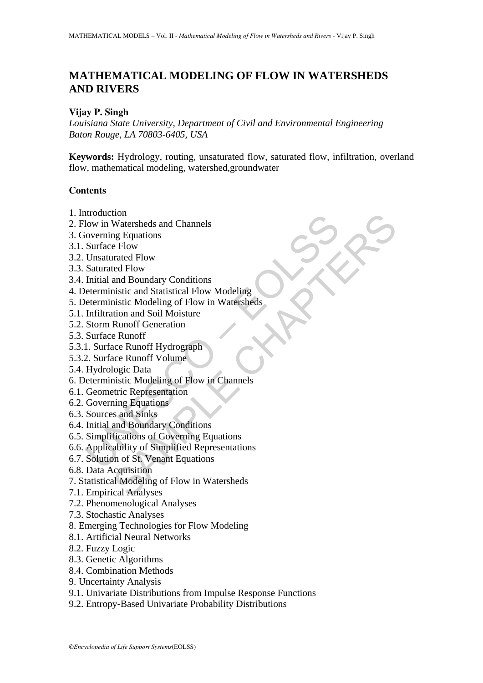# **MATHEMATICAL MODELING OF FLOW IN WATERSHEDS AND RIVERS**

## **Vijay P. Singh**

*Louisiana State University, Department of Civil and Environmental Engineering Baton Rouge, LA 70803-6405, USA* 

**Keywords:** Hydrology, routing, unsaturated flow, saturated flow, infiltration, overland flow, mathematical modeling, watershed,groundwater

## **Contents**

- 1. Introduction
- 2. Flow in Watersheds and Channels
- 3. Governing Equations
- 3.1. Surface Flow
- 3.2. Unsaturated Flow
- 3.3. Saturated Flow
- 3.4. Initial and Boundary Conditions
- 4. Deterministic and Statistical Flow Modeling
- Howardon<br>
How in Watersheds and Channels<br>
overning Equations<br>
Surface Flow<br>
Unsaturated Flow<br>
Saturated Flow<br>
Saturated Flow<br>
Saturated Flow<br>
Saturated Flow<br>
Saturated Flow<br>
Saturated Flow<br>
Saturatic and Statistical Flow M tion<br>Watersheds and Channels<br>mrated Flow<br>rated Flow<br>ted Flow<br>and Boundary Conditions<br>insite Modeling of Flow in Watersheds<br>thion and Soil Moisture<br>Runoff Generation<br>Runoff Generation<br>condition and Soil Moisture<br>Runoff Hydr 5. Deterministic Modeling of Flow in Watersheds
- 5.1. Infiltration and Soil Moisture
- 5.2. Storm Runoff Generation
- 5.3. Surface Runoff
- 5.3.1. Surface Runoff Hydrograph
- 5.3.2. Surface Runoff Volume
- 5.4. Hydrologic Data
- 6. Deterministic Modeling of Flow in Channels
- 6.1. Geometric Representation
- 6.2. Governing Equations
- 6.3. Sources and Sinks
- 6.4. Initial and Boundary Conditions
- 6.5. Simplifications of Governing Equations
- 6.6. Applicability of Simplified Representations
- 6.7. Solution of St. Venant Equations
- 6.8. Data Acquisition
- 7. Statistical Modeling of Flow in Watersheds
- 7.1. Empirical Analyses
- 7.2. Phenomenological Analyses
- 7.3. Stochastic Analyses
- 8. Emerging Technologies for Flow Modeling
- 8.1. Artificial Neural Networks
- 8.2. Fuzzy Logic
- 8.3. Genetic Algorithms
- 8.4. Combination Methods
- 9. Uncertainty Analysis
- 9.1. Univariate Distributions from Impulse Response Functions
- 9.2. Entropy-Based Univariate Probability Distributions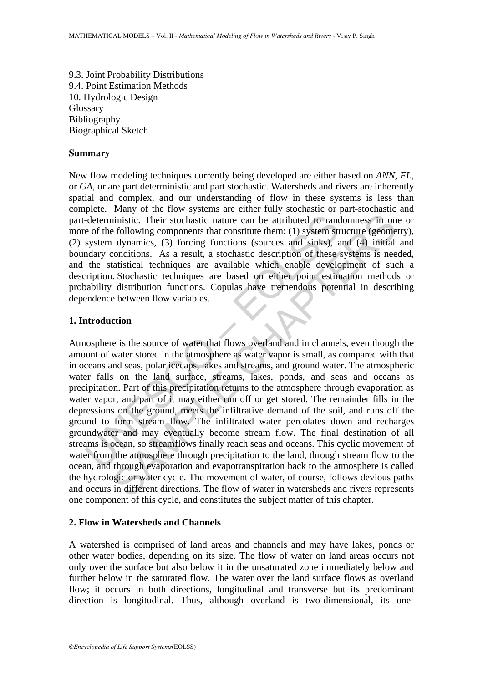9.3. Joint Probability Distributions 9.4. Point Estimation Methods 10. Hydrologic Design Glossary Bibliography Biographical Sketch

### **Summary**

New flow modeling techniques currently being developed are either based on *ANN*, *FL*, or *GA*, or are part deterministic and part stochastic. Watersheds and rivers are inherently spatial and complex, and our understanding of flow in these systems is less than complete. Many of the flow systems are either fully stochastic or part-stochastic and part-deterministic. Their stochastic nature can be attributed to randomness in one or more of the following components that constitute them: (1) system structure (geometry), (2) system dynamics, (3) forcing functions (sources and sinks), and (4) initial and boundary conditions. As a result, a stochastic description of these systems is needed, and the statistical techniques are available which enable development of such a description. Stochastic techniques are based on either point estimation methods or probability distribution functions. Copulas have tremendous potential in describing dependence between flow variables.

## 1. Introduction

-deterministic. Their stochastic nature can be attributed to rance of the following components that constitute them: (1) system straysstem dynamics, (3) forcing functions (sources and sinks), andary conditions. As a result inistic. Their stochastic nature can be attributed to randomness in on following components that constitute them: (1) system structure (geome dynamics, (3) forcing functions (sources and sinks), and (4) initial recondition Atmosphere is the source of water that flows overland and in channels, even though the amount of water stored in the atmosphere as water vapor is small, as compared with that in oceans and seas, polar icecaps, lakes and streams, and ground water. The atmospheric water falls on the land surface, streams, lakes, ponds, and seas and oceans as precipitation. Part of this precipitation returns to the atmosphere through evaporation as water vapor, and part of it may either run off or get stored. The remainder fills in the depressions on the ground, meets the infiltrative demand of the soil, and runs off the ground to form stream flow. The infiltrated water percolates down and recharges groundwater and may eventually become stream flow. The final destination of all streams is ocean, so streamflows finally reach seas and oceans. This cyclic movement of water from the atmosphere through precipitation to the land, through stream flow to the ocean, and through evaporation and evapotranspiration back to the atmosphere is called the hydrologic or water cycle. The movement of water, of course, follows devious paths and occurs in different directions. The flow of water in watersheds and rivers represents one component of this cycle, and constitutes the subject matter of this chapter.

## 3B**2. Flow in Watersheds and Channels**

A watershed is comprised of land areas and channels and may have lakes, ponds or other water bodies, depending on its size. The flow of water on land areas occurs not only over the surface but also below it in the unsaturated zone immediately below and further below in the saturated flow. The water over the land surface flows as overland flow; it occurs in both directions, longitudinal and transverse but its predominant direction is longitudinal. Thus, although overland is two-dimensional, its one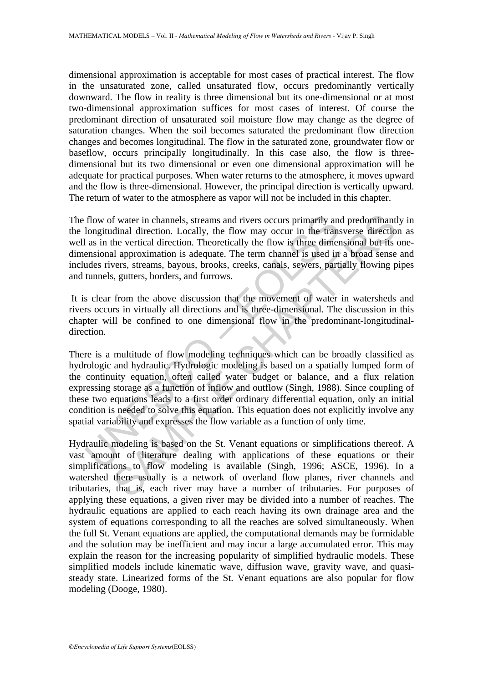dimensional approximation is acceptable for most cases of practical interest. The flow in the unsaturated zone, called unsaturated flow, occurs predominantly vertically downward. The flow in reality is three dimensional but its one-dimensional or at most two-dimensional approximation suffices for most cases of interest. Of course the predominant direction of unsaturated soil moisture flow may change as the degree of saturation changes. When the soil becomes saturated the predominant flow direction changes and becomes longitudinal. The flow in the saturated zone, groundwater flow or baseflow, occurs principally longitudinally. In this case also, the flow is threedimensional but its two dimensional or even one dimensional approximation will be adequate for practical purposes. When water returns to the atmosphere, it moves upward and the flow is three-dimensional. However, the principal direction is vertically upward. The return of water to the atmosphere as vapor will not be included in this chapter.

The flow of water in channels, streams and rivers occurs primarily and predominantly in the longitudinal direction. Locally, the flow may occur in the transverse direction as well as in the vertical direction. Theoretically the flow is three dimensional but its onedimensional approximation is adequate. The term channel is used in a broad sense and includes rivers, streams, bayous, brooks, creeks, canals, sewers, partially flowing pipes and tunnels, gutters, borders, and furrows.

 It is clear from the above discussion that the movement of water in watersheds and rivers occurs in virtually all directions and is three-dimensional. The discussion in this chapter will be confined to one dimensional flow in the predominant-longitudinaldirection.

flow of water in channels, streams and rivers occurs primarily an longitudinal direction. Locally, the flow may occur in the trans as in the vertical direction. Theoretically the flow is three dimensional approximation is f water in channels, streams and rivers occurs primarily and predominant<br>dinal direction. Locally, the flow may occur in the transverse directio<br>the vertical direction. Theoretically the flow is three dimensional but its<br>a There is a multitude of flow modeling techniques which can be broadly classified as hydrologic and hydraulic. Hydrologic modeling is based on a spatially lumped form of the continuity equation, often called water budget or balance, and a flux relation expressing storage as a function of inflow and outflow (Singh, 1988). Since coupling of these two equations leads to a first order ordinary differential equation, only an initial condition is needed to solve this equation. This equation does not explicitly involve any spatial variability and expresses the flow variable as a function of only time.

Hydraulic modeling is based on the St. Venant equations or simplifications thereof. A vast amount of literature dealing with applications of these equations or their simplifications to flow modeling is available (Singh, 1996; ASCE, 1996). In a watershed there usually is a network of overland flow planes, river channels and tributaries, that is, each river may have a number of tributaries. For purposes of applying these equations, a given river may be divided into a number of reaches. The hydraulic equations are applied to each reach having its own drainage area and the system of equations corresponding to all the reaches are solved simultaneously. When the full St. Venant equations are applied, the computational demands may be formidable and the solution may be inefficient and may incur a large accumulated error. This may explain the reason for the increasing popularity of simplified hydraulic models. These simplified models include kinematic wave, diffusion wave, gravity wave, and quasisteady state. Linearized forms of the St. Venant equations are also popular for flow modeling (Dooge, 1980).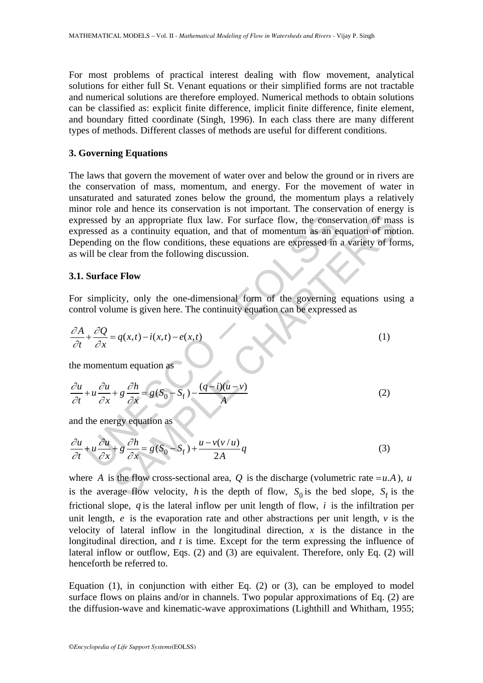For most problems of practical interest dealing with flow movement, analytical solutions for either full St. Venant equations or their simplified forms are not tractable and numerical solutions are therefore employed. Numerical methods to obtain solutions can be classified as: explicit finite difference, implicit finite difference, finite element, and boundary fitted coordinate (Singh, 1996). In each class there are many different types of methods. Different classes of methods are useful for different conditions.

#### 4B**3. Governing Equations**

ressed by an appropriate flux law. For surface flow, the consenses as a continuity equation, and that of momentum as an exercised as a continuity equation, and that of momentum as an exercised in the following discussion. by an appropriate flux law. For surface flow, the conservation of mas<br>as a continuity equation, and that of momentum as an equation of mos<br>on the flow conditions, these equations are expressed in a variety of fo<br>clear fro The laws that govern the movement of water over and below the ground or in rivers are the conservation of mass, momentum, and energy. For the movement of water in unsaturated and saturated zones below the ground, the momentum plays a relatively minor role and hence its conservation is not important. The conservation of energy is expressed by an appropriate flux law. For surface flow, the conservation of mass is expressed as a continuity equation, and that of momentum as an equation of motion. Depending on the flow conditions, these equations are expressed in a variety of forms, as will be clear from the following discussion.

#### **3.1. Surface Flow**

For simplicity, only the one-dimensional form of the governing equations using a control volume is given here. The continuity equation can be expressed as

$$
\frac{\partial A}{\partial t} + \frac{\partial Q}{\partial x} = q(x, t) - i(x, t) - e(x, t)
$$
\n(1)

the momentum equation as

$$
\frac{\partial u}{\partial t} + u \frac{\partial u}{\partial x} + g \frac{\partial h}{\partial x} = g(S_0 - S_f) - \frac{(q - i)(u - v)}{A}
$$
 (2)

and the energy equation as

$$
\frac{\partial u}{\partial t} + u \frac{\partial u}{\partial x} + g \frac{\partial h}{\partial x} = g(S_0 - S_f) + \frac{u - v(v/u)}{2A}q
$$
\n(3)

where *A* is the flow cross-sectional area, *Q* is the discharge (volumetric rate  $=u.A$ ), *u* is the average flow velocity, *h* is the depth of flow,  $S_0$  is the bed slope,  $S_f$  is the frictional slope, *q* is the lateral inflow per unit length of flow, *i* is the infiltration per unit length, *e* is the evaporation rate and other abstractions per unit length, *v* is the velocity of lateral inflow in the longitudinal direction, *x* is the distance in the longitudinal direction, and *t* is time. Except for the term expressing the influence of lateral inflow or outflow, Eqs. (2) and (3) are equivalent. Therefore, only Eq. (2) will henceforth be referred to.

Equation  $(1)$ , in conjunction with either Eq.  $(2)$  or  $(3)$ , can be employed to model surface flows on plains and/or in channels. Two popular approximations of Eq. (2) are the diffusion-wave and kinematic-wave approximations (Lighthill and Whitham, 1955;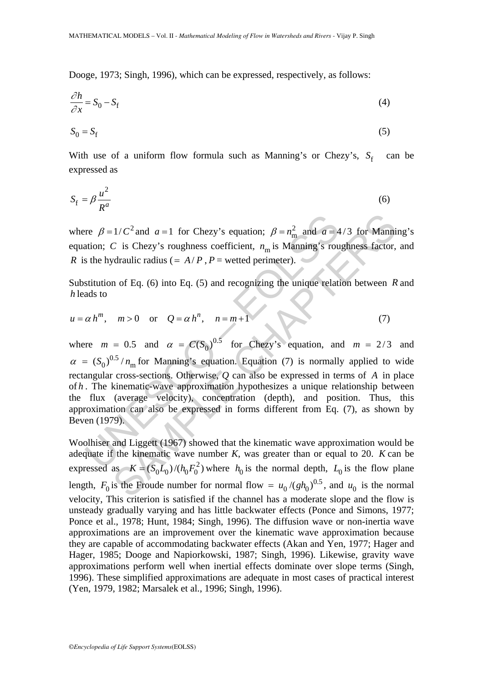Dooge, 1973; Singh, 1996), which can be expressed, respectively, as follows:

$$
\frac{\partial h}{\partial x} = S_0 - S_f \tag{4}
$$

$$
S_0 = S_f \tag{5}
$$

With use of a uniform flow formula such as Manning's or Chezy's,  $S_f$  can be expressed as

$$
S_{\rm f} = \beta \frac{u^2}{R^a} \tag{6}
$$

where  $\beta = 1/C^2$  and  $a = 1$  for Chezy's equation;  $\beta = n_m^2$  and  $a = 4/3$  for Manning's equation; *C* is Chezy's roughness coefficient,  $n_m$  is Manning's roughness factor, and *R* is the hydraulic radius (=  $A/P$ , *P* = wetted perimeter).

Substitution of Eq. (6) into Eq. (5) and recognizing the unique relation between *R* and *h* leads to

$$
u = \alpha h^m, \quad m > 0 \quad \text{or} \quad Q = \alpha h^n, \quad n = m + 1 \tag{7}
$$

For  $\beta = 1/C^2$  and  $a = 1$  for Chezy's equation;  $\beta = n_m^2$  and  $a = 4$ <br>ation; C is Chezy's roughness coefficient,  $n_m$  is Manning's roust<br>be the hydraulic radius (=  $A/P$ ,  $P$  = wetted perimeter).<br>stitution of Eq. (6) into E EVALUATION  $a = 1$  for Chezy's equation;  $\beta = n_m^2$  and  $a = 4/3$  for Manni  $C$  is Chezy's roughness coefficient,  $n_m$  is Manning's roughness factor,  $d$  and it is  $(4/2, 6)$  and recognizing the unique relation between  $R$  where  $m = 0.5$  and  $\alpha = C(S_0)^{0.5}$  for Chezy's equation, and  $m = 2/3$  and  $\alpha = (S_0)^{0.5}/n_m$  for Manning's equation. Equation (7) is normally applied to wide rectangular cross-sections. Otherwise, *Q* can also be expressed in terms of *A* in place of *h* . The kinematic-wave approximation hypothesizes a unique relationship between the flux (average velocity), concentration (depth), and position. Thus, this approximation can also be expressed in forms different from Eq. (7), as shown by Beven (1979).

Woolhiser and Liggett (1967) showed that the kinematic wave approximation would be adequate if the kinematic wave number *K*, was greater than or equal to 20. *K* can be expressed as  $K = (S_0 L_0) / (h_0 F_0^2)$  where  $h_0$  is the normal depth,  $L_0$  is the flow plane length,  $F_0$  is the Froude number for normal flow =  $u_0/(gh_0)^{0.5}$ , and  $u_0$  is the normal velocity, This criterion is satisfied if the channel has a moderate slope and the flow is unsteady gradually varying and has little backwater effects (Ponce and Simons, 1977; Ponce et al., 1978; Hunt, 1984; Singh, 1996). The diffusion wave or non-inertia wave approximations are an improvement over the kinematic wave approximation because they are capable of accommodating backwater effects (Akan and Yen, 1977; Hager and Hager, 1985; Dooge and Napiorkowski, 1987; Singh, 1996). Likewise, gravity wave approximations perform well when inertial effects dominate over slope terms (Singh, 1996). These simplified approximations are adequate in most cases of practical interest (Yen, 1979, 1982; Marsalek et al., 1996; Singh, 1996).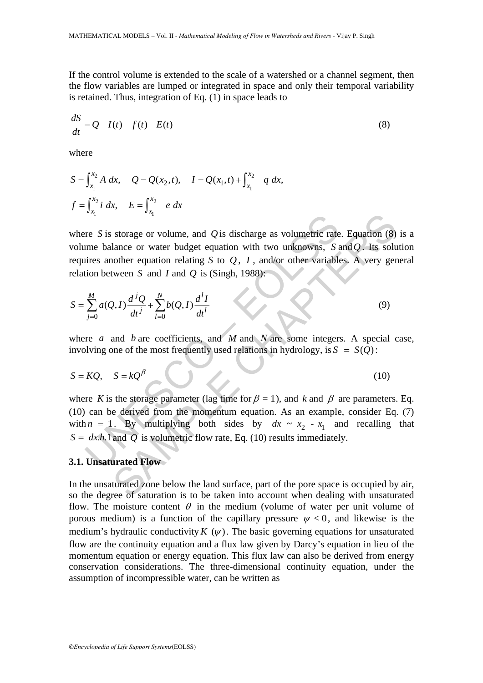If the control volume is extended to the scale of a watershed or a channel segment, then the flow variables are lumped or integrated in space and only their temporal variability is retained. Thus, integration of Eq. (1) in space leads to

$$
\frac{dS}{dt} = Q - I(t) - f(t) - E(t)
$$
\n(8)

where

$$
S = \int_{x_1}^{x_2} A \, dx, \quad Q = Q(x_2, t), \quad I = Q(x_1, t) + \int_{x_1}^{x_2} q \, dx,
$$
  

$$
f = \int_{x_1}^{x_2} i \, dx, \quad E = \int_{x_1}^{x_2} e \, dx
$$

The S is storage or volume, and Q is discharge as volumetric rate<br>time balance or water budget equation with two unknowns, S is<br>tires another equation relating S to Q, I, and/or other variable<br>tion between S and I and Q i storage or volume, and *Q* is discharge as volumetric rate. Equation (8)<br>
shance or water budget equation with two unknowns, *S* and *Q*. Its solu<br>
other equation relating *S* to *Q*, *I*, and/or other variables. A very g where *S* is storage or volume, and *Q* is discharge as volumetric rate. Equation (8) is a volume balance or water budget equation with two unknowns, *S* and*Q* . Its solution requires another equation relating *S* to *Q* , *I* , and/or other variables. A very general relation between *S* and *I* and *Q* is (Singh, 1988):

$$
S = \sum_{j=0}^{M} a(Q, I) \frac{d^{j}Q}{dt^{j}} + \sum_{l=0}^{N} b(Q, I) \frac{d^{l}I}{dt^{l}}
$$
(9)

where *a* and *b* are coefficients, and *M* and *N* are some integers. A special case, involving one of the most frequently used relations in hydrology, is  $S = S(Q)$ :

$$
S = KQ, \quad S = kQ^{\beta} \tag{10}
$$

where *K* is the storage parameter (lag time for  $\beta = 1$ ), and *k* and  $\beta$  are parameters. Eq. (10) can be derived from the momentum equation. As an example, consider Eq. (7) with  $n = 1$ . By multiplying both sides by  $dx \sim x_2 - x_1$  and recalling that  $S = dx \cdot h$  and *Q* is volumetric flow rate, Eq. (10) results immediately.

### **3.1. Unsaturated Flow**

In the unsaturated zone below the land surface, part of the pore space is occupied by air, so the degree of saturation is to be taken into account when dealing with unsaturated flow. The moisture content  $\theta$  in the medium (volume of water per unit volume of porous medium) is a function of the capillary pressure  $\psi < 0$ , and likewise is the medium's hydraulic conductivity  $K(\psi)$ . The basic governing equations for unsaturated flow are the continuity equation and a flux law given by Darcy's equation in lieu of the momentum equation or energy equation. This flux law can also be derived from energy conservation considerations. The three-dimensional continuity equation, under the assumption of incompressible water, can be written as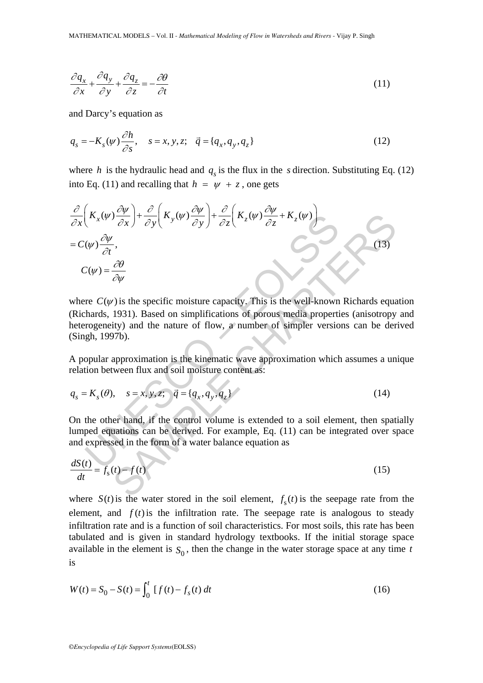$$
\frac{\partial q_x}{\partial x} + \frac{\partial q_y}{\partial y} + \frac{\partial q_z}{\partial z} = -\frac{\partial \theta}{\partial t}
$$
\n(11)

and Darcy's equation as

$$
q_s = -K_s(\psi)\frac{\partial h}{\partial s}, \quad s = x, y, z; \quad \vec{q} = \{q_x, q_y, q_z\}
$$
\n(12)

where *h* is the hydraulic head and  $q_s$  is the flux in the *s* direction. Substituting Eq. (12) into Eq. (11) and recalling that  $h = \psi + z$ , one gets

$$
\frac{\partial}{\partial x}\left(K_x(\psi)\frac{\partial \psi}{\partial x}\right) + \frac{\partial}{\partial y}\left(K_y(\psi)\frac{\partial \psi}{\partial y}\right) + \frac{\partial}{\partial z}\left(K_z(\psi)\frac{\partial \psi}{\partial z} + K_z(\psi)\right)
$$
  
\n
$$
= C(\psi)\frac{\partial \psi}{\partial t},
$$
  
\n
$$
C(\psi) = \frac{\partial \theta}{\partial \psi}
$$
  
\nwhere  $C(\psi)$  is the specific moisture capacity. This is the well-known Richards equa  
\n(Richards, 1931). Based on simplifications of porous media properties (anisotropy)  
\nheterogeneity) and the nature of flow, a number of simpler versions can be der  
\n(Singh, 1997b).  
\nA popular approximation is the kinematic wave approximation which assumes a un  
\nrelation between flux and soil moisture content as:  
\n $q_s = K_s(\theta), s = x, y, z; \quad \bar{q} = \{q_x, q_y, q_z\}$  (14)  
\nOn the other hand, if the control volume is extended to a soil element, then spat  
\nlumped equations can be derived. For example, Eq. (11) can be integrated over sq  
\nand expressed in the form of a water balance equation as  
\n
$$
\frac{dS(t)}{dt} = f_s(t) - f(t)
$$
 (15)  
\nwhere  $S(t)$  is the water depend in the soil element,  $f(t)$  is the response rate from  
\nthe same value of  $q_t$  and  $q_t$  is the average rate from  
\n
$$
\frac{dS(t)}{dt} = f_s(t) - f(t)
$$

where  $C(\psi)$  is the specific moisture capacity. This is the well-known Richards equation (Richards, 1931). Based on simplifications of porous media properties (anisotropy and heterogeneity) and the nature of flow, a number of simpler versions can be derived (Singh, 1997b).

A popular approximation is the kinematic wave approximation which assumes a unique relation between flux and soil moisture content as:

$$
q_s = K_s(\theta), \quad s = x, y, z; \quad \vec{q} = \{q_x, q_y, q_z\}
$$
 (14)

On the other hand, if the control volume is extended to a soil element, then spatially lumped equations can be derived. For example, Eq. (11) can be integrated over space and expressed in the form of a water balance equation as

$$
\frac{dS(t)}{dt} = f_s(t) - f(t) \tag{15}
$$

where  $S(t)$  is the water stored in the soil element,  $f_s(t)$  is the seepage rate from the element, and  $f(t)$  is the infiltration rate. The seepage rate is analogous to steady infiltration rate and is a function of soil characteristics. For most soils, this rate has been tabulated and is given in standard hydrology textbooks. If the initial storage space available in the element is  $S_0$ , then the change in the water storage space at any time *t* is

$$
W(t) = S_0 - S(t) = \int_0^t [f(t) - f_s(t)] dt
$$
\n(16)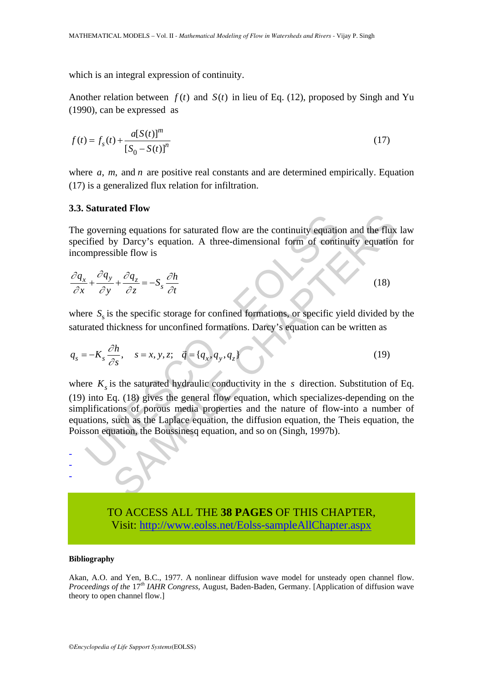which is an integral expression of continuity.

Another relation between  $f(t)$  and  $S(t)$  in lieu of Eq. (12), proposed by Singh and Yu (1990), can be expressed as

$$
f(t) = f_s(t) + \frac{a[S(t)]^m}{[S_0 - S(t)]^n}
$$
\n(17)

where  $a$ ,  $m$ , and  $n$  are positive real constants and are determined empirically. Equation (17) is a generalized flux relation for infiltration.

#### **3.3. Saturated Flow**

The governing equations for saturated flow are the continuity equation and the flux law specified by Darcy's equation. A three-dimensional form of continuity equation for incompressible flow is

$$
\frac{\partial q_x}{\partial x} + \frac{\partial q_y}{\partial y} + \frac{\partial q_z}{\partial z} = -S_s \frac{\partial h}{\partial t}
$$
 (18)

where  $S<sub>s</sub>$  is the specific storage for confined formations, or specific yield divided by the saturated thickness for unconfined formations. Darcy's equation can be written as

$$
q_s = -K_s \frac{\partial h}{\partial s}, \quad s = x, y, z; \quad \vec{q} = \{q_x, q_y, q_z\}
$$
(19)

governing equations for saturated flow are the continuity equation<br>
if id by Darcy's equation. A three-dimensional form of continum<br>
empressible flow is<br>  $\frac{\varepsilon}{\varepsilon} + \frac{\partial q_y}{\partial y} + \frac{\partial q_z}{\partial z} = -S_s \frac{\partial h}{\partial t}$ <br>
re  $S_s$  is th strain and the flux<br>
strain and the flux<br>
strained flux are the continuity equation and the flux<br>
strained flux is<br>  $\frac{2a}{c^2} = -S_s \frac{\partial h}{\partial t}$  (18)<br>
strained for the specific storage for confined formations, or specific y where  $K<sub>s</sub>$  is the saturated hydraulic conductivity in the  $s$  direction. Substitution of Eq. (19) into Eq. (18) gives the general flow equation, which specializes-depending on the simplifications of porous media properties and the nature of flow-into a number of equations, such as the Laplace equation, the diffusion equation, the Theis equation, the Poisson equation, the Boussinesq equation, and so on (Singh, 1997b).

# TO ACCESS ALL THE **38 PAGES** OF THIS CHAPTER, Visit[: http://www.eolss.net/Eolss-sampleAllChapter.aspx](https://www.eolss.net/ebooklib/sc_cart.aspx?File=E6-03B-02-02)

#### 0B**Bibliography**

- - -

Akan, A.O. and Yen, B.C., 1977. A nonlinear diffusion wave model for unsteady open channel flow. *Proceedings of the* 17*th IAHR Congress*, August, Baden-Baden, Germany. [Application of diffusion wave theory to open channel flow.]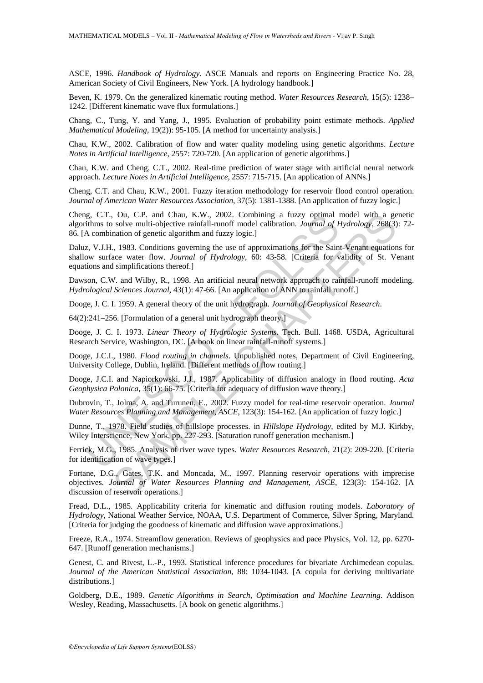ASCE, 1996. *Handbook of Hydrology*. ASCE Manuals and reports on Engineering Practice No. 28, American Society of Civil Engineers, New York. [A hydrology handbook.]

Beven, K. 1979. On the generalized kinematic routing method. *Water Resources Research*, 15(5): 1238– 1242. [Different kinematic wave flux formulations.]

Chang, C., Tung, Y. and Yang, J., 1995. Evaluation of probability point estimate methods. *Applied Mathematical Modeling*, 19(2)): 95-105. [A method for uncertainty analysis.]

Chau, K.W., 2002. Calibration of flow and water quality modeling using genetic algorithms. *Lecture Notes in Artificial Intelligence*, 2557: 720-720. [An application of genetic algorithms.]

Chau, K.W. and Cheng, C.T., 2002. Real-time prediction of water stage with artificial neural network approach. *Lecture Notes in Artificial Intelligence*, 2557: 715-715. [An application of ANNs.]

Cheng, C.T. and Chau, K.W., 2001. Fuzzy iteration methodology for reservoir flood control operation. *Journal of American Water Resources Association*, 37(5): 1381-1388. [An application of fuzzy logic.]

Cheng, C.T., Ou, C.P. and Chau, K.W., 2002. Combining a fuzzy optimal model with a genetic algorithms to solve multi-objective rainfall-runoff model calibration. *Journal of Hydrology*, 268(3): 72- 86. [A combination of genetic algorithm and fuzzy logic.]

g. C.T., Ou, C.P. and Chau, K.W., 2002. Combining a fuzzy optimal i<br>tithms to solve multi-objective rainfall-runoff model calibration. *Journal of E*<br>A combination of genetic algorithm and fuzzy logic.]<br>z, V.J.H., 1983. Co Out, C.P. and Chau, K.W., 2002. Combining a fuzzy optimal model with a generation of generation of generic algorithm and fuzzy logic.]<br>
.., 1983. Conditions governing the use of approximations for the Saint-Venant equatio Daluz, V.J.H., 1983. Conditions governing the use of approximations for the Saint-Venant equations for shallow surface water flow. *Journal of Hydrology*, 60: 43-58. [Criteria for validity of St. Venant equations and simplifications thereof.]

Dawson, C.W. and Wilby, R., 1998. An artificial neural network approach to rainfall-runoff modeling. *Hydrological Sciences Journal*, 43(1): 47-66. [An application of ANN to rainfall runoff.]

Dooge, J. C. I. 1959. A general theory of the unit hydrograph. *Journal of Geophysical Research*.

64(2):241–256. [Formulation of a general unit hydrograph theory.]

Dooge, J. C. I. 1973. *Linear Theory of Hydrologic Systems*. Tech. Bull. 1468. USDA, Agricultural Research Service, Washington, DC. [A book on linear rainfall-runoff systems.]

Dooge, J.C.I., 1980. *Flood routing in channels*. Unpublished notes, Department of Civil Engineering, University College, Dublin, Ireland. [Different methods of flow routing.]

Dooge, J.C.I. and Napiorkowski, J.J., 1987. Applicability of diffusion analogy in flood routing. *Acta Geophysica Polonica*, 35(1): 66-75. [Criteria for adequacy of diffusion wave theory.]

Dubrovin, T., Jolma, A. and Turunen, E., 2002. Fuzzy model for real-time reservoir operation. *Journal Water Resources Planning and Management*, *ASCE*, 123(3): 154-162. [An application of fuzzy logic.]

Dunne, T., 1978. Field studies of hillslope processes. in *Hillslope Hydrology*, edited by M.J. Kirkby, Wiley Interscience, New York, pp. 227-293. [Saturation runoff generation mechanism.]

Ferrick, M.G., 1985. Analysis of river wave types. *Water Resources Research*, 21(2): 209-220. [Criteria for identification of wave types.]

Fortane, D.G., Gates, T.K. and Moncada, M., 1997. Planning reservoir operations with imprecise objectives. *Journal of Water Resources Planning and Management*, *ASCE*, 123(3): 154-162. [A discussion of reservoir operations.]

Fread, D.L., 1985. Applicability criteria for kinematic and diffusion routing models. *Laboratory of Hydrology*, National Weather Service, NOAA, U.S. Department of Commerce, Silver Spring, Maryland. [Criteria for judging the goodness of kinematic and diffusion wave approximations.]

Freeze, R.A., 1974. Streamflow generation. Reviews of geophysics and pace Physics, Vol. 12, pp. 6270- 647. [Runoff generation mechanisms.]

Genest, C. and Rivest, L.-P., 1993. Statistical inference procedures for bivariate Archimedean copulas. *Journal of the American Statistical Association*, 88: 1034-1043. [A copula for deriving multivariate distributions.]

Goldberg, D.E., 1989. *Genetic Algorithms in Search*, *Optimisation and Machine Learning*. Addison Wesley, Reading, Massachusetts. [A book on genetic algorithms.]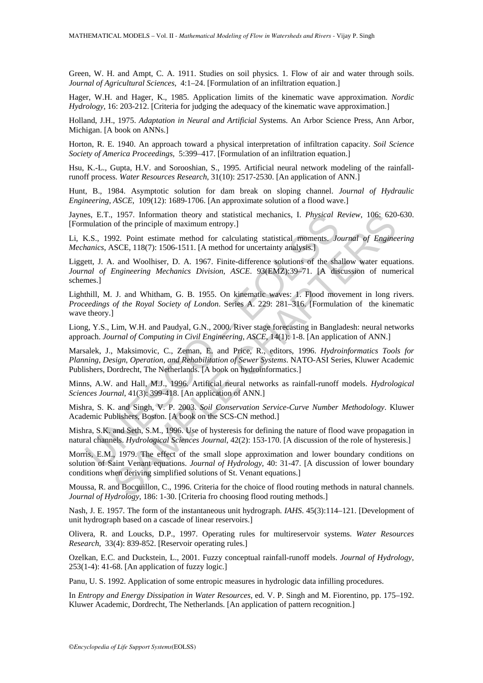Green, W. H. and Ampt, C. A. 1911. Studies on soil physics. 1. Flow of air and water through soils. *Journal of Agricultural Sciences*, 4:1–24. [Formulation of an infiltration equation.]

Hager, W.H. and Hager, K., 1985. Application limits of the kinematic wave approximation. *Nordic Hydrology*, 16: 203-212. [Criteria for judging the adequacy of the kinematic wave approximation.]

Holland, J.H., 1975. *Adaptation in Neural and Artificial S*ystems. An Arbor Science Press, Ann Arbor, Michigan. [A book on ANNs.]

Horton, R. E. 1940. An approach toward a physical interpretation of infiltration capacity. *Soil Science Society of America Proceedings*, 5:399–417. [Formulation of an infiltration equation.]

Hsu, K.-L., Gupta, H.V. and Sorooshian, S., 1995. Artificial neural network modeling of the rainfallrunoff process. *Water Resources Research*, 31(10): 2517-2530. [An application of ANN.]

Hunt, B., 1984. Asymptotic solution for dam break on sloping channel. *Journal of Hydraulic Engineering*, *ASCE*, 109(12): 1689-1706. [An approximate solution of a flood wave.]

Jaynes, E.T., 1957. Information theory and statistical mechanics, I. *Physical Review*, 106: 620-630. [Formulation of the principle of maximum entropy.]

Li, K.S., 1992. Point estimate method for calculating statistical moments. *Journal of Engineering Mechanics*, ASCE, 118(7): 1506-1511. [A method for uncertainty analysis.]

es, E.T., 1957. Information theory and statistical mechanics, I. *Physical K.S.*, 1967. Information of the principle of maximum entropy.]<br>
K.S., 1992. Point estimate method for calculating statistical moments. *Jotanics*, 1957. Information theory and statistical mechanics, 1. *Physical Review*, 106; 620<br>of the principle of maximum entropy.]<br>2. Point estimate method for calculating statistical moments. Journal of Engine<br>SCE, 118(7): 1506-15 Liggett, J. A. and Woolhiser, D. A. 1967. Finite-difference solutions of the shallow water equations. *Journal of Engineering Mechanics Division*, *ASCE*. 93(EMZ):39–71. [A discussion of numerical schemes.]

Lighthill, M. J. and Whitham, G. B. 1955. On kinematic waves: 1. Flood movement in long rivers. *Proceedings of the Royal Society of London*. Series A. 229: 281–316. [Formulation of the kinematic wave theory.]

Liong, Y.S., Lim, W.H. and Paudyal, G.N., 2000. River stage forecasting in Bangladesh: neural networks approach. *Journal of Computing in Civil Engineering*, *ASCE*, 14(1): 1-8. [An application of ANN.]

Marsalek, J., Maksimovic, C., Zeman, E. and Price, R., editors, 1996. *Hydroinformatics Tools for Planning*, *Design*, *Operation*, *and Rehabilitation of Sewer Systems*. NATO-ASI Series, Kluwer Academic Publishers, Dordrecht, The Netherlands. [A book on hydroinformatics.]

Minns, A.W. and Hall, M.J., 1996. Artificial neural networks as rainfall-runoff models. *Hydrological Sciences Journal*, 41(3): 399-418. [An application of ANN.]

Mishra, S. K. and Singh, V. P. 2003. *Soil Conservation Service*-*Curve Number Methodology*. Kluwer Academic Publishers, Boston. [A book on the SCS-CN method.]

Mishra, S.K. and Seth, S.M., 1996. Use of hysteresis for defining the nature of flood wave propagation in natural channels. *Hydrological Sciences Journal*, 42(2): 153-170. [A discussion of the role of hysteresis.]

Morris, E.M., 1979. The effect of the small slope approximation and lower boundary conditions on solution of Saint Venant equations. *Journal of Hydrology*, 40: 31-47. [A discussion of lower boundary conditions when deriving simplified solutions of St. Venant equations.]

Moussa, R. and Bocquillon, C., 1996. Criteria for the choice of flood routing methods in natural channels. *Journal of Hydrology*, 186: 1-30. [Criteria fro choosing flood routing methods.]

Nash, J. E. 1957. The form of the instantaneous unit hydrograph. *IAHS*. 45(3):114–121. [Development of unit hydrograph based on a cascade of linear reservoirs.]

Olivera, R. and Loucks, D.P., 1997. Operating rules for multireservoir systems. *Water Resources Research*, 33(4): 839-852. [Reservoir operating rules.]

Ozelkan, E.C. and Duckstein, L., 2001. Fuzzy conceptual rainfall-runoff models. *Journal of Hydrology*, 253(1-4): 41-68. [An application of fuzzy logic.]

Panu, U. S. 1992. Application of some entropic measures in hydrologic data infilling procedures.

In *Entropy and Energy Dissipation in Water Resources*, ed. V. P. Singh and M. Fiorentino, pp. 175–192. Kluwer Academic, Dordrecht, The Netherlands. [An application of pattern recognition.]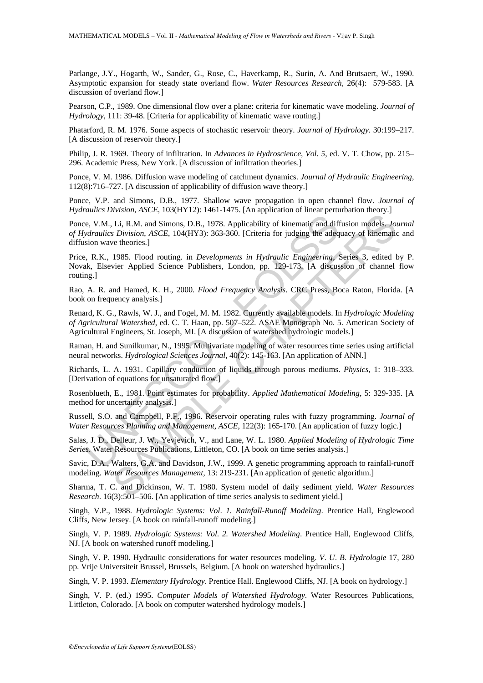Parlange, J.Y., Hogarth, W., Sander, G., Rose, C., Haverkamp, R., Surin, A. And Brutsaert, W., 1990. Asymptotic expansion for steady state overland flow. *Water Resources Research*, 26(4): 579-583. [A discussion of overland flow.]

Pearson, C.P., 1989. One dimensional flow over a plane: criteria for kinematic wave modeling. *Journal of Hydrology*, 111: 39-48. [Criteria for applicability of kinematic wave routing.]

Phatarford, R. M. 1976. Some aspects of stochastic reservoir theory. *Journal of Hydrology*. 30:199–217. [A discussion of reservoir theory.]

Philip, J. R. 1969. Theory of infiltration. In *Advances in Hydroscience*, *Vol. 5*, ed. V. T. Chow, pp. 215– 296. Academic Press, New York. [A discussion of infiltration theories.]

Ponce, V. M. 1986. Diffusion wave modeling of catchment dynamics. *Journal of Hydraulic Engineering*, 112(8):716–727. [A discussion of applicability of diffusion wave theory.]

Ponce, V.P. and Simons, D.B., 1977. Shallow wave propagation in open channel flow. *Journal of Hydraulics Division*, *ASCE*, 103(HY12): 1461-1475. [An application of linear perturbation theory.]

e, V.M., Li, R.M. and Simons, D.B., 1978. Applicability of kinematic and diff<br>*xdraulics Division*, ASCE, 104(HY3): 363-360. [Criteria for judging the adeg<br>sion wave theories.]<br>
p. R.K., 1985. Flood routing. in *Developmen* **FRAME SET ASSET ASSET ASSET ASSET AND THE SET AND SIGNAL TRANSFER CONSTRAINS IN A LILE R.M. and Simons, D.B., 1978. Applicability of kinematic and diffusion models.** *Joy**Division***,** *ASCE***, 104(HY3): 363-360. [Criteria** Ponce, V.M., Li, R.M. and Simons, D.B., 1978. Applicability of kinematic and diffusion models. *Journal of Hydraulics Division*, *ASCE*, 104(HY3): 363-360. [Criteria for judging the adequacy of kinematic and diffusion wave theories.]

Price, R.K., 1985. Flood routing. in *Developments in Hydraulic Engineering*, Series 3, edited by P. Novak, Elsevier Applied Science Publishers, London, pp. 129-173. [A discussion of channel flow routing.]

Rao, A. R. and Hamed, K. H., 2000. *Flood Frequency Analysis*. CRC Press, Boca Raton, Florida. [A book on frequency analysis.]

Renard, K. G., Rawls, W. J., and Fogel, M. M. 1982. Currently available models. In *Hydrologic Modeling of Agricultural Watershed*, ed. C. T. Haan, pp. 507–522. ASAE Monograph No. 5. American Society of Agricultural Engineers, St. Joseph, MI. [A discussion of watershed hydrologic models.]

Raman, H. and Sunilkumar, N., 1995. Multivariate modeling of water resources time series using artificial neural networks. *Hydrological Sciences Journal*, 40(2): 145-163. [An application of ANN.]

Richards, L. A. 1931. Capillary conduction of liquids through porous mediums. *Physics*, 1: 318–333. [Derivation of equations for unsaturated flow.]

Rosenblueth, E., 1981. Point estimates for probability. *Applied Mathematical Modeling*, 5: 329-335. [A method for uncertainty analysis.]

Russell, S.O. and Campbell, P.F., 1996. Reservoir operating rules with fuzzy programming. *Journal of Water Resources Planning and Management*, *ASCE*, 122(3): 165-170. [An application of fuzzy logic.]

Salas, J. D., Delleur, J. W., Yevjevich, V., and Lane, W. L. 1980. *Applied Modeling of Hydrologic Time Series*. Water Resources Publications, Littleton, CO. [A book on time series analysis.]

Savic, D.A., Walters, G.A. and Davidson, J.W., 1999. A genetic programming approach to rainfall-runoff modeling. *Water Resources Management*, 13: 219-231. [An application of genetic algorithm.]

Sharma, T. C. and Dickinson, W. T. 1980. System model of daily sediment yield. *Water Resources Research*. 16(3):501–506. [An application of time series analysis to sediment yield.]

Singh, V.P., 1988. *Hydrologic Systems: Vol*. *1. Rainfall*-*Runoff Modeling*. Prentice Hall, Englewood Cliffs, New Jersey. [A book on rainfall-runoff modeling.]

Singh, V. P. 1989. *Hydrologic Systems: Vol*. *2. Watershed Modeling*. Prentice Hall, Englewood Cliffs, NJ. [A book on watershed runoff modeling.]

Singh, V. P. 1990. Hydraulic considerations for water resources modeling. *V*. *U*. *B*. *Hydrologie* 17, 280 pp. Vrije Universiteit Brussel, Brussels, Belgium. [A book on watershed hydraulics.]

Singh, V. P. 1993. *Elementary Hydrology*. Prentice Hall. Englewood Cliffs, NJ. [A book on hydrology.]

Singh, V. P. (ed.) 1995. *Computer Models of Watershed Hydrology*. Water Resources Publications, Littleton, Colorado. [A book on computer watershed hydrology models.]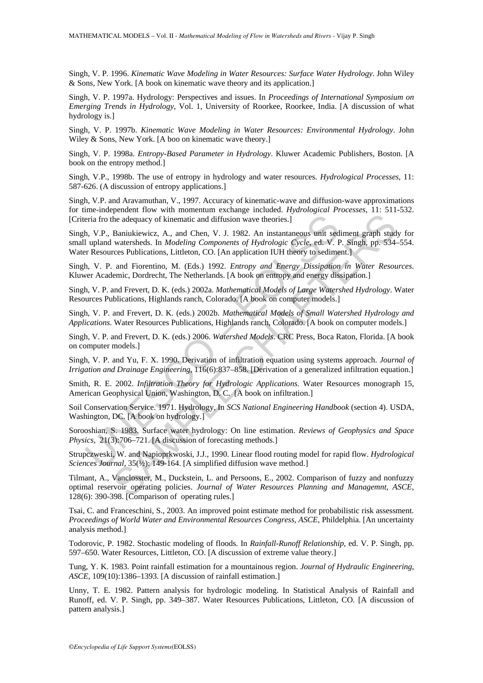Singh, V. P. 1996. *Kinematic Wave Modeling in Water Resources: Surface Water Hydrology*. John Wiley & Sons, New York. [A book on kinematic wave theory and its application.]

Singh, V. P. 1997a. Hydrology: Perspectives and issues. In *Proceedings of International Symposium on Emerging Trends in Hydrology*, Vol. 1, University of Roorkee, Roorkee, India. [A discussion of what hydrology is.]

Singh, V. P. 1997b. *Kinematic Wave Modeling in Water Resources: Environmental Hydrology*. John Wiley & Sons, New York. [A boo on kinematic wave theory.]

Singh, V. P. 1998a. *Entropy*-*Based Parameter in Hydrology*. Kluwer Academic Publishers, Boston. [A book on the entropy method.]

Singh, V.P., 1998b. The use of entropy in hydrology and water resources. *Hydrological Processes*, 11: 587-626. (A discussion of entropy applications.]

Singh, V.P. and Aravamuthan, V., 1997. Accuracy of kinematic-wave and diffusion-wave approximations for time-independent flow with momentum exchange included. *Hydrological Processes*, 11: 511-532. [Criteria fro the adequacy of kinematic and diffusion wave theories.]

eria fro the adequacy of kinematic and diffusion wave theories.]<br>
h, V.P., Baniukiewicz, A., and Chen, V. J. 1982. An instantaneous unit sed<br>
upland watersheds. In *Modeling Components of Hydrologic Cycle,* ed. V. F<br>
re Re France Extending Components of Hydrology and Secure Treverses (CF 211)<br>
Deadeley of Kinematic and diffusion wave theories.]<br>
Baniukiewicz, A., and Chen, V. J. 1982. An instantaneous unit sediment graph stud<br>
watersheeks. I Singh, V.P., Baniukiewicz, A., and Chen, V. J. 1982. An instantaneous unit sediment graph study for small upland watersheds. In *Modeling Components of Hydrologic Cycle*, ed. V. P. Singh, pp. 534–554. Water Resources Publications, Littleton, CO. [An application IUH theory to sediment.]

Singh, V. P. and Fiorentino, M. (Eds.) 1992. *Entropy and Energy Dissipation in Water Resources*. Kluwer Academic, Dordrecht, The Netherlands. [A book on entropy and energy dissipation.]

Singh, V. P. and Frevert, D. K. (eds.) 2002a. *Mathematical Models of Large Watershed Hydrology*. Water Resources Publications, Highlands ranch, Colorado. [A book on computer models.]

Singh, V. P. and Frevert, D. K. (eds.) 2002b. *Mathematical Models of Small Watershed Hydrology and Applications*. Water Resources Publications, Highlands ranch, Colorado. [A book on computer models.]

Singh, V. P. and Frevert, D. K. (eds.) 2006. *Watershed Models*. CRC Press, Boca Raton, Florida. [A book on computer models.]

Singh, V. P. and Yu, F. X. 1990. Derivation of infiltration equation using systems approach. *Journal of Irrigation and Drainage Engineering*, 116(6):837–858. [Derivation of a generalized infiltration equation.]

Smith, R. E. 2002. *Infiltration Theory for Hydrologic Applications*. Water Resources monograph 15, American Geophysical Union, Washington, D. C. [A book on infiltration.]

Soil Conservation Service. 1971. Hydrology, In *SCS National Engineering Handbook* (section 4). USDA, Washington, DC. [A book on hydrology.]

Sorooshian, S. 1983. Surface water hydrology: On line estimation. *Reviews of Geophysics and Space Physics*, 21(3):706–721. [A discussion of forecasting methods.]

Strupczweski, W. and Napioprkwoski, J.J., 1990. Linear flood routing model for rapid flow. *Hydrological Sciences Journal*, 35(½): 149-164. [A simplified diffusion wave method.]

Tilmant, A., Vanclosster, M., Duckstein, L. and Persoons, E., 2002. Comparison of fuzzy and nonfuzzy optimal reservoir operating policies. *Journal of Water Resources Planning and Managemnt*, *ASCE*, 128(6): 390-398. [Comparison of operating rules.]

Tsai, C. and Franceschini, S., 2003. An improved point estimate method for probabilistic risk assessment. *Proceedings of World Water and Environmental Resources Congress*, *ASCE*, Phildelphia. [An uncertainty analysis method.]

Todorovic, P. 1982. Stochastic modeling of floods. In *Rainfall*-*Runoff Relationship*, ed. V. P. Singh, pp. 597–650. Water Resources, Littleton, CO. [A discussion of extreme value theory.]

Tung, Y. K. 1983. Point rainfall estimation for a mountainous region. *Journal of Hydraulic Engineering*, *ASCE*, 109(10):1386–1393. [A discussion of rainfall estimation.]

Unny, T. E. 1982. Pattern analysis for hydrologic modeling. In Statistical Analysis of Rainfall and Runoff, ed. V. P. Singh, pp. 349–387. Water Resources Publications, Littleton, CO. [A discussion of pattern analysis.]